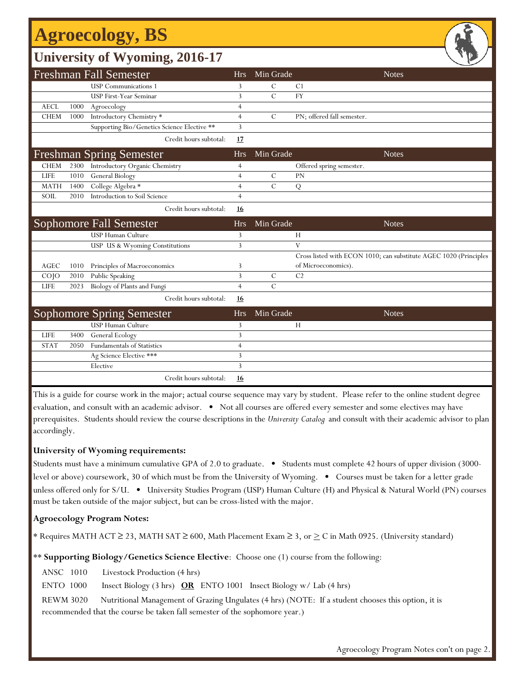# **Agroecology, BS**

## **University of Wyoming, 2016-17**

|             |      | <b>Freshman Fall Semester</b>               | <b>Hrs</b>     | Min Grade     | <b>Notes</b>                                                      |
|-------------|------|---------------------------------------------|----------------|---------------|-------------------------------------------------------------------|
|             |      | <b>USP</b> Communications 1                 | 3              | C             | C <sub>1</sub>                                                    |
|             |      | <b>USP First-Year Seminar</b>               | 3              | $\mathcal{C}$ | <b>FY</b>                                                         |
| <b>AECL</b> | 1000 | Agroecology                                 | $\overline{4}$ |               |                                                                   |
| <b>CHEM</b> | 1000 | Introductory Chemistry *                    | $\overline{4}$ | C             | PN; offered fall semester.                                        |
|             |      | Supporting Bio/Genetics Science Elective ** | 3              |               |                                                                   |
|             |      | Credit hours subtotal:                      | 17             |               |                                                                   |
|             |      | <b>Freshman Spring Semester</b>             | <b>Hrs</b>     | Min Grade     | <b>Notes</b>                                                      |
| <b>CHEM</b> | 2300 | Introductory Organic Chemistry              | $\overline{4}$ |               | Offered spring semester.                                          |
| <b>LIFE</b> | 1010 | General Biology                             | $\overline{4}$ | $\mathcal{C}$ | PN                                                                |
| <b>MATH</b> | 1400 | College Algebra *                           | $\overline{4}$ | $\mathcal{C}$ | Q                                                                 |
| SOIL        | 2010 | Introduction to Soil Science                | $\overline{4}$ |               |                                                                   |
|             |      | Credit hours subtotal:                      | <b>16</b>      |               |                                                                   |
|             |      | <b>Sophomore Fall Semester</b>              | <b>Hrs</b>     | Min Grade     | <b>Notes</b>                                                      |
|             |      | <b>USP Human Culture</b>                    | 3              |               | H                                                                 |
|             |      | USP US & Wyoming Constitutions              | $\overline{3}$ |               | V                                                                 |
|             |      |                                             |                |               | Cross listed with ECON 1010; can substitute AGEC 1020 (Principles |
| AGEC        | 1010 | Principles of Macroeconomics                | 3              |               | of Microeconomics).                                               |
| COJO        | 2010 | Public Speaking                             | $\overline{3}$ | $\mathcal{C}$ | C <sub>2</sub>                                                    |
| <b>LIFE</b> | 2023 | Biology of Plants and Fungi                 | $\overline{4}$ | $\mathcal{C}$ |                                                                   |
|             |      | Credit hours subtotal:                      | <u>16</u>      |               |                                                                   |
|             |      | <b>Sophomore Spring Semester</b>            | <b>Hrs</b>     | Min Grade     | <b>Notes</b>                                                      |
|             |      | USP Human Culture                           | 3              |               | H                                                                 |
| <b>LIFE</b> | 3400 | General Ecology                             | 3              |               |                                                                   |
| <b>STAT</b> | 2050 | Fundamentals of Statistics                  | $\overline{4}$ |               |                                                                   |
|             |      | Ag Science Elective ***                     | 3              |               |                                                                   |
|             |      | Elective                                    | 3              |               |                                                                   |
|             |      | Credit hours subtotal:                      | <u>16</u>      |               |                                                                   |

This is a guide for course work in the major; actual course sequence may vary by student. Please refer to the online student degree evaluation, and consult with an academic advisor. • Not all courses are offered every semester and some electives may have prerequisites. Students should review the course descriptions in the *University Catalog* and consult with their academic advisor to plan accordingly.

### **University of Wyoming requirements:**

Students must have a minimum cumulative GPA of 2.0 to graduate. • Students must complete 42 hours of upper division (3000 level or above) coursework, 30 of which must be from the University of Wyoming. • Courses must be taken for a letter grade unless offered only for S/U. • University Studies Program (USP) Human Culture (H) and Physical & Natural World (PN) courses must be taken outside of the major subject, but can be cross-listed with the major.

### **Agroecology Program Notes:**

\* Requires MATH ACT  $\geq$  23, MATH SAT  $\geq$  600, Math Placement Exam  $\geq$  3, or  $\geq$  C in Math 0925. (University standard)

\*\* **Supporting Biology/Genetics Science Elective**: Choose one (1) course from the following:

ANSC 1010 Livestock Production (4 hrs)

ENTO 1000 Insect Biology (3 hrs) **OR** ENTO 1001 Insect Biology w/ Lab (4 hrs)

REWM 3020 Nutritional Management of Grazing Ungulates (4 hrs) (NOTE: If a student chooses this option, it is recommended that the course be taken fall semester of the sophomore year.)